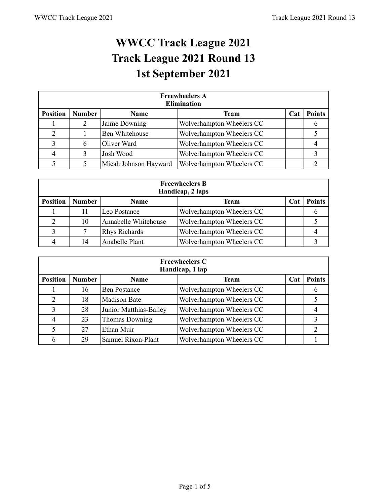## **WWCC Track League 2021 Track League 2021 Round 13 1st September 2021**

|                 | <b>Freewheelers A</b><br><b>Elimination</b> |                       |                           |     |               |  |  |  |  |  |
|-----------------|---------------------------------------------|-----------------------|---------------------------|-----|---------------|--|--|--|--|--|
| <b>Position</b> | <b>Number</b>                               | <b>Name</b>           | Team                      | Cat | <b>Points</b> |  |  |  |  |  |
|                 | 2                                           | Jaime Downing         | Wolverhampton Wheelers CC |     | b             |  |  |  |  |  |
| 2               |                                             | <b>Ben Whitehouse</b> | Wolverhampton Wheelers CC |     |               |  |  |  |  |  |
|                 | 6                                           | Oliver Ward           | Wolverhampton Wheelers CC |     |               |  |  |  |  |  |
|                 |                                             | Josh Wood             | Wolverhampton Wheelers CC |     |               |  |  |  |  |  |
|                 |                                             | Micah Johnson Hayward | Wolverhampton Wheelers CC |     |               |  |  |  |  |  |

| <b>Freewheelers B</b><br>Handicap, 2 laps |               |                      |                           |     |               |  |  |  |
|-------------------------------------------|---------------|----------------------|---------------------------|-----|---------------|--|--|--|
| <b>Position</b>                           | <b>Number</b> | Name                 | <b>Team</b>               | Cat | <b>Points</b> |  |  |  |
|                                           |               | Leo Postance         | Wolverhampton Wheelers CC |     |               |  |  |  |
|                                           | 10            | Annabelle Whitehouse | Wolverhampton Wheelers CC |     |               |  |  |  |
|                                           |               | Rhys Richards        | Wolverhampton Wheelers CC |     |               |  |  |  |
|                                           | 14            | Anabelle Plant       | Wolverhampton Wheelers CC |     |               |  |  |  |

|                 | <b>Freewheelers C</b><br>Handicap, 1 lap |                        |                           |     |               |  |  |  |  |  |
|-----------------|------------------------------------------|------------------------|---------------------------|-----|---------------|--|--|--|--|--|
| <b>Position</b> | <b>Number</b>                            | Name                   | <b>Team</b>               | Cat | <b>Points</b> |  |  |  |  |  |
|                 | 16                                       | <b>Ben Postance</b>    | Wolverhampton Wheelers CC |     | 6             |  |  |  |  |  |
| $\overline{2}$  | 18                                       | <b>Madison Bate</b>    | Wolverhampton Wheelers CC |     |               |  |  |  |  |  |
| 3               | 28                                       | Junior Matthias-Bailey | Wolverhampton Wheelers CC |     |               |  |  |  |  |  |
|                 | 23                                       | <b>Thomas Downing</b>  | Wolverhampton Wheelers CC |     | 3             |  |  |  |  |  |
|                 | 27                                       | Ethan Muir             | Wolverhampton Wheelers CC |     | 2             |  |  |  |  |  |
| 6               | 29                                       | Samuel Rixon-Plant     | Wolverhampton Wheelers CC |     |               |  |  |  |  |  |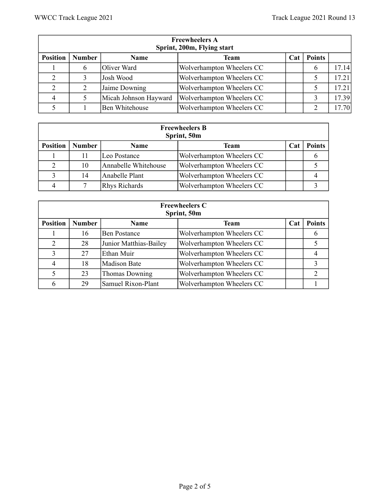|                             | <b>Freewheelers A</b><br>Sprint, 200m, Flying start |                       |                           |     |               |       |  |  |  |  |
|-----------------------------|-----------------------------------------------------|-----------------------|---------------------------|-----|---------------|-------|--|--|--|--|
| <b>Position</b>             | <b>Number</b>                                       | <b>Name</b>           | <b>Team</b>               | Cat | <b>Points</b> |       |  |  |  |  |
|                             | 6                                                   | Oliver Ward           | Wolverhampton Wheelers CC |     | 6             | 17.14 |  |  |  |  |
| $\mathcal{D}_{\mathcal{L}}$ |                                                     | Josh Wood             | Wolverhampton Wheelers CC |     | 5             | 17.21 |  |  |  |  |
| 2                           | 2                                                   | Jaime Downing         | Wolverhampton Wheelers CC |     | 5             | 17.21 |  |  |  |  |
| 4                           |                                                     | Micah Johnson Hayward | Wolverhampton Wheelers CC |     |               | 17.39 |  |  |  |  |
|                             |                                                     | Ben Whitehouse        | Wolverhampton Wheelers CC |     | 2             | 17.70 |  |  |  |  |

|                 | <b>Freewheelers B</b><br>Sprint, 50m |                      |                           |            |               |  |  |  |  |  |
|-----------------|--------------------------------------|----------------------|---------------------------|------------|---------------|--|--|--|--|--|
| <b>Position</b> | <b>Number</b>                        | <b>Name</b>          | <b>Team</b>               | <b>Cat</b> | <b>Points</b> |  |  |  |  |  |
|                 |                                      | Leo Postance         | Wolverhampton Wheelers CC |            |               |  |  |  |  |  |
|                 | 10                                   | Annabelle Whitehouse | Wolverhampton Wheelers CC |            |               |  |  |  |  |  |
|                 | 14                                   | Anabelle Plant       | Wolverhampton Wheelers CC |            |               |  |  |  |  |  |
|                 |                                      | <b>Rhys Richards</b> | Wolverhampton Wheelers CC |            |               |  |  |  |  |  |

|                 | <b>Freewheelers C</b><br>Sprint, 50m |                        |                           |     |               |  |  |  |  |  |
|-----------------|--------------------------------------|------------------------|---------------------------|-----|---------------|--|--|--|--|--|
| <b>Position</b> | <b>Number</b>                        | <b>Name</b>            | <b>Team</b>               | Cat | <b>Points</b> |  |  |  |  |  |
|                 | 16                                   | <b>Ben Postance</b>    | Wolverhampton Wheelers CC |     | 6             |  |  |  |  |  |
| 2               | 28                                   | Junior Matthias-Bailey | Wolverhampton Wheelers CC |     |               |  |  |  |  |  |
| 3               | 27                                   | Ethan Muir             | Wolverhampton Wheelers CC |     |               |  |  |  |  |  |
|                 | 18                                   | <b>Madison Bate</b>    | Wolverhampton Wheelers CC |     |               |  |  |  |  |  |
|                 | 23                                   | <b>Thomas Downing</b>  | Wolverhampton Wheelers CC |     |               |  |  |  |  |  |
| 6               | 29                                   | Samuel Rixon-Plant     | Wolverhampton Wheelers CC |     |               |  |  |  |  |  |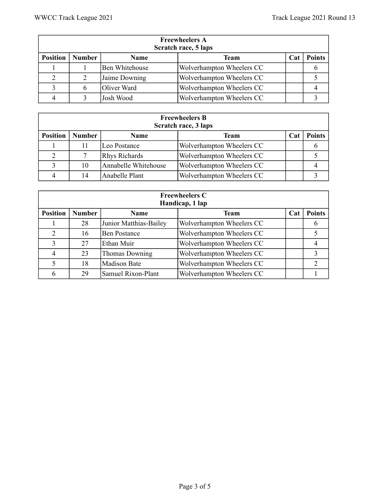| <b>Freewheelers A</b><br>Scratch race, 5 laps |               |                |                                  |            |               |  |  |  |  |
|-----------------------------------------------|---------------|----------------|----------------------------------|------------|---------------|--|--|--|--|
| <b>Position</b>                               | <b>Number</b> | <b>Name</b>    | <b>Team</b>                      | <b>Cat</b> | <b>Points</b> |  |  |  |  |
|                                               |               | Ben Whitehouse | <b>Wolverhampton Wheelers CC</b> |            |               |  |  |  |  |
|                                               |               | Jaime Downing  | <b>Wolverhampton Wheelers CC</b> |            |               |  |  |  |  |
|                                               | <sub>b</sub>  | Oliver Ward    | Wolverhampton Wheelers CC        |            |               |  |  |  |  |
|                                               |               | Josh Wood      | <b>Wolverhampton Wheelers CC</b> |            |               |  |  |  |  |

|                 | <b>Freewheelers B</b><br>Scratch race, 3 laps |                      |                                  |     |               |  |  |  |  |  |
|-----------------|-----------------------------------------------|----------------------|----------------------------------|-----|---------------|--|--|--|--|--|
| <b>Position</b> | <b>Number</b>                                 | <b>Name</b>          | <b>Team</b>                      | Cat | <b>Points</b> |  |  |  |  |  |
|                 |                                               | Leo Postance         | Wolverhampton Wheelers CC        |     |               |  |  |  |  |  |
|                 |                                               | Rhys Richards        | Wolverhampton Wheelers CC        |     |               |  |  |  |  |  |
|                 | 10                                            | Annabelle Whitehouse | <b>Wolverhampton Wheelers CC</b> |     |               |  |  |  |  |  |
|                 | 14                                            | Anabelle Plant       | Wolverhampton Wheelers CC        |     |               |  |  |  |  |  |

|                 | <b>Freewheelers C</b><br>Handicap, 1 lap |                        |                           |     |               |  |  |  |  |  |
|-----------------|------------------------------------------|------------------------|---------------------------|-----|---------------|--|--|--|--|--|
| <b>Position</b> | <b>Number</b>                            | <b>Name</b>            | <b>Team</b>               | Cat | <b>Points</b> |  |  |  |  |  |
|                 | 28                                       | Junior Matthias-Bailey | Wolverhampton Wheelers CC |     | 6             |  |  |  |  |  |
| 2               | 16                                       | <b>Ben Postance</b>    | Wolverhampton Wheelers CC |     |               |  |  |  |  |  |
| 3               | 27                                       | Ethan Muir             | Wolverhampton Wheelers CC |     |               |  |  |  |  |  |
|                 | 23                                       | <b>Thomas Downing</b>  | Wolverhampton Wheelers CC |     | 3             |  |  |  |  |  |
|                 | 18                                       | <b>Madison Bate</b>    | Wolverhampton Wheelers CC |     | 2             |  |  |  |  |  |
| 6               | 29                                       | Samuel Rixon-Plant     | Wolverhampton Wheelers CC |     |               |  |  |  |  |  |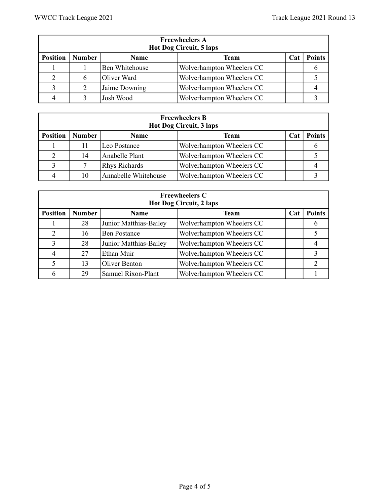| <b>Freewheelers A</b><br><b>Hot Dog Circuit, 5 laps</b> |               |                       |                           |     |               |  |  |  |  |
|---------------------------------------------------------|---------------|-----------------------|---------------------------|-----|---------------|--|--|--|--|
| <b>Position</b>                                         | <b>Number</b> | <b>Name</b>           | <b>Team</b>               | Cat | <b>Points</b> |  |  |  |  |
|                                                         |               | <b>Ben Whitehouse</b> | Wolverhampton Wheelers CC |     |               |  |  |  |  |
|                                                         | 6             | Oliver Ward           | Wolverhampton Wheelers CC |     |               |  |  |  |  |
|                                                         |               | Jaime Downing         | Wolverhampton Wheelers CC |     |               |  |  |  |  |
|                                                         |               | Josh Wood             | Wolverhampton Wheelers CC |     |               |  |  |  |  |

|                 | <b>Freewheelers B</b><br><b>Hot Dog Circuit, 3 laps</b> |                      |                                  |     |               |  |  |  |  |  |
|-----------------|---------------------------------------------------------|----------------------|----------------------------------|-----|---------------|--|--|--|--|--|
| <b>Position</b> | <b>Number</b>                                           | <b>Name</b>          | <b>Team</b>                      | Cat | <b>Points</b> |  |  |  |  |  |
|                 |                                                         | Leo Postance         | Wolverhampton Wheelers CC        |     |               |  |  |  |  |  |
|                 | 14                                                      | Anabelle Plant       | Wolverhampton Wheelers CC        |     |               |  |  |  |  |  |
|                 |                                                         | Rhys Richards        | Wolverhampton Wheelers CC        |     |               |  |  |  |  |  |
|                 | 10                                                      | Annabelle Whitehouse | <b>Wolverhampton Wheelers CC</b> |     |               |  |  |  |  |  |

|                 | <b>Freewheelers C</b><br><b>Hot Dog Circuit, 2 laps</b> |                        |                           |     |               |  |  |  |  |  |  |
|-----------------|---------------------------------------------------------|------------------------|---------------------------|-----|---------------|--|--|--|--|--|--|
| <b>Position</b> | <b>Number</b>                                           | <b>Name</b>            | Team                      | Cat | <b>Points</b> |  |  |  |  |  |  |
|                 | 28                                                      | Junior Matthias-Bailey | Wolverhampton Wheelers CC |     | 6             |  |  |  |  |  |  |
| 2               | 16                                                      | <b>Ben Postance</b>    | Wolverhampton Wheelers CC |     |               |  |  |  |  |  |  |
| 3               | 28                                                      | Junior Matthias-Bailey | Wolverhampton Wheelers CC |     |               |  |  |  |  |  |  |
|                 | 27                                                      | Ethan Muir             | Wolverhampton Wheelers CC |     | 3             |  |  |  |  |  |  |
|                 | 13                                                      | Oliver Benton          | Wolverhampton Wheelers CC |     | 2             |  |  |  |  |  |  |
| 6               | 29                                                      | Samuel Rixon-Plant     | Wolverhampton Wheelers CC |     |               |  |  |  |  |  |  |